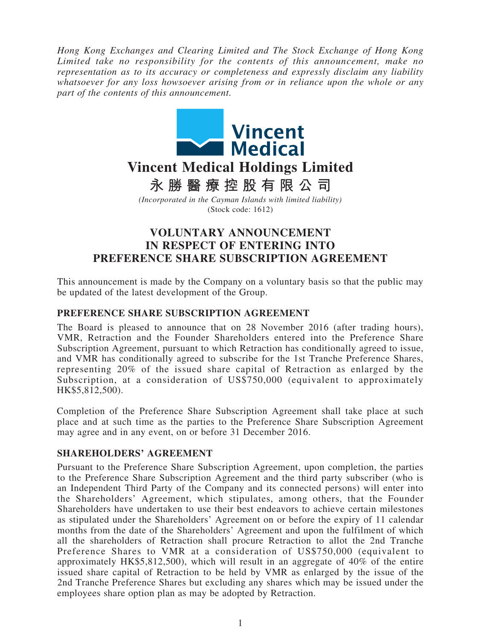*Hong Kong Exchanges and Clearing Limited and The Stock Exchange of Hong Kong Limited take no responsibility for the contents of this announcement, make no representation as to its accuracy or completeness and expressly disclaim any liability whatsoever for any loss howsoever arising from or in reliance upon the whole or any part of the contents of this announcement.*



**永勝醫療控股有限公司**

*(Incorporated in the Cayman Islands with limited liability)* (Stock code: 1612)

# **VOLUNTARY ANNOUNCEMENT IN RESPECT OF ENTERING INTO PREFERENCE SHARE SUBSCRIPTION AGREEMENT**

This announcement is made by the Company on a voluntary basis so that the public may be updated of the latest development of the Group.

#### **PREFERENCE SHARE SUBSCRIPTION AGREEMENT**

The Board is pleased to announce that on 28 November 2016 (after trading hours), VMR, Retraction and the Founder Shareholders entered into the Preference Share Subscription Agreement, pursuant to which Retraction has conditionally agreed to issue, and VMR has conditionally agreed to subscribe for the 1st Tranche Preference Shares, representing 20% of the issued share capital of Retraction as enlarged by the Subscription, at a consideration of US\$750,000 (equivalent to approximately HK\$5,812,500).

Completion of the Preference Share Subscription Agreement shall take place at such place and at such time as the parties to the Preference Share Subscription Agreement may agree and in any event, on or before 31 December 2016.

## **SHAREHOLDERS' AGREEMENT**

Pursuant to the Preference Share Subscription Agreement, upon completion, the parties to the Preference Share Subscription Agreement and the third party subscriber (who is an Independent Third Party of the Company and its connected persons) will enter into the Shareholders' Agreement, which stipulates, among others, that the Founder Shareholders have undertaken to use their best endeavors to achieve certain milestones as stipulated under the Shareholders' Agreement on or before the expiry of 11 calendar months from the date of the Shareholders' Agreement and upon the fulfilment of which all the shareholders of Retraction shall procure Retraction to allot the 2nd Tranche Preference Shares to VMR at a consideration of US\$750,000 (equivalent to approximately HK\$5,812,500), which will result in an aggregate of 40% of the entire issued share capital of Retraction to be held by VMR as enlarged by the issue of the 2nd Tranche Preference Shares but excluding any shares which may be issued under the employees share option plan as may be adopted by Retraction.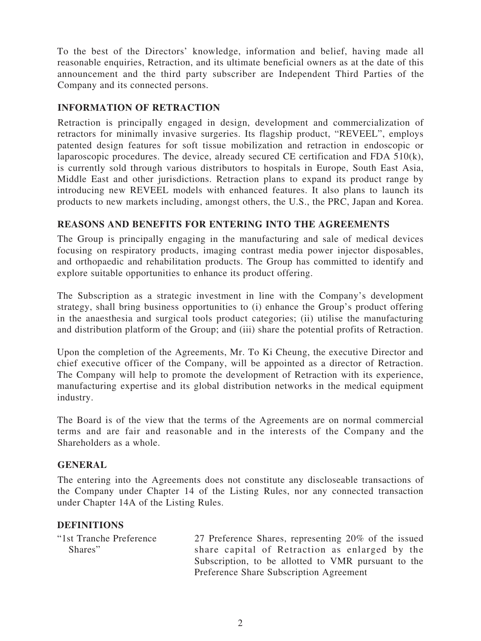To the best of the Directors' knowledge, information and belief, having made all reasonable enquiries, Retraction, and its ultimate beneficial owners as at the date of this announcement and the third party subscriber are Independent Third Parties of the Company and its connected persons.

# **INFORMATION OF RETRACTION**

Retraction is principally engaged in design, development and commercialization of retractors for minimally invasive surgeries. Its flagship product, "REVEEL", employs patented design features for soft tissue mobilization and retraction in endoscopic or laparoscopic procedures. The device, already secured CE certification and FDA 510(k), is currently sold through various distributors to hospitals in Europe, South East Asia, Middle East and other jurisdictions. Retraction plans to expand its product range by introducing new REVEEL models with enhanced features. It also plans to launch its products to new markets including, amongst others, the U.S., the PRC, Japan and Korea.

# **REASONS AND BENEFITS FOR ENTERING INTO THE AGREEMENTS**

The Group is principally engaging in the manufacturing and sale of medical devices focusing on respiratory products, imaging contrast media power injector disposables, and orthopaedic and rehabilitation products. The Group has committed to identify and explore suitable opportunities to enhance its product offering.

The Subscription as a strategic investment in line with the Company's development strategy, shall bring business opportunities to (i) enhance the Group's product offering in the anaesthesia and surgical tools product categories; (ii) utilise the manufacturing and distribution platform of the Group; and (iii) share the potential profits of Retraction.

Upon the completion of the Agreements, Mr. To Ki Cheung, the executive Director and chief executive officer of the Company, will be appointed as a director of Retraction. The Company will help to promote the development of Retraction with its experience, manufacturing expertise and its global distribution networks in the medical equipment industry.

The Board is of the view that the terms of the Agreements are on normal commercial terms and are fair and reasonable and in the interests of the Company and the Shareholders as a whole.

## **GENERAL**

The entering into the Agreements does not constitute any discloseable transactions of the Company under Chapter 14 of the Listing Rules, nor any connected transaction under Chapter 14A of the Listing Rules.

## **DEFINITIONS**

| "1st Tranche Preference" | 27 Preference Shares, representing 20% of the issued |
|--------------------------|------------------------------------------------------|
| Shares"                  | share capital of Retraction as enlarged by the       |
|                          | Subscription, to be allotted to VMR pursuant to the  |
|                          | Preference Share Subscription Agreement              |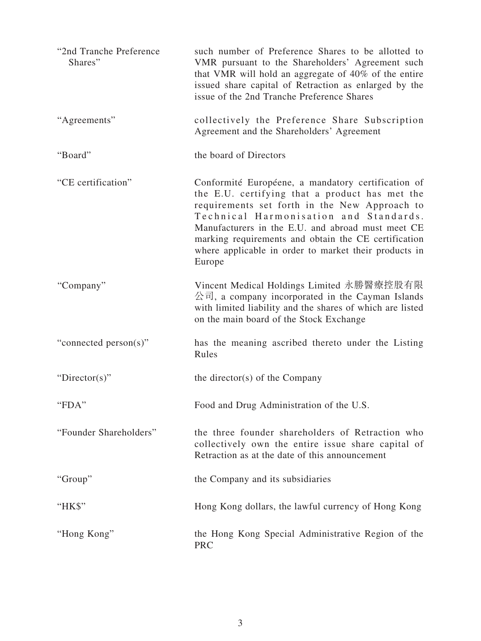| "2nd Tranche Preference"<br>Shares" | such number of Preference Shares to be allotted to<br>VMR pursuant to the Shareholders' Agreement such<br>that VMR will hold an aggregate of 40% of the entire<br>issued share capital of Retraction as enlarged by the<br>issue of the 2nd Tranche Preference Shares                                                                                                           |
|-------------------------------------|---------------------------------------------------------------------------------------------------------------------------------------------------------------------------------------------------------------------------------------------------------------------------------------------------------------------------------------------------------------------------------|
| "Agreements"                        | collectively the Preference Share Subscription<br>Agreement and the Shareholders' Agreement                                                                                                                                                                                                                                                                                     |
| "Board"                             | the board of Directors                                                                                                                                                                                                                                                                                                                                                          |
| "CE certification"                  | Conformité Européene, a mandatory certification of<br>the E.U. certifying that a product has met the<br>requirements set forth in the New Approach to<br>Technical Harmonisation and Standards.<br>Manufacturers in the E.U. and abroad must meet CE<br>marking requirements and obtain the CE certification<br>where applicable in order to market their products in<br>Europe |
| "Company"                           | Vincent Medical Holdings Limited 永勝醫療控股有限<br>公司, a company incorporated in the Cayman Islands<br>with limited liability and the shares of which are listed<br>on the main board of the Stock Exchange                                                                                                                                                                           |
| "connected person(s)"               | has the meaning ascribed thereto under the Listing<br>Rules                                                                                                                                                                                                                                                                                                                     |
| "Director(s)"                       | the director(s) of the Company                                                                                                                                                                                                                                                                                                                                                  |
| "FDA"                               | Food and Drug Administration of the U.S.                                                                                                                                                                                                                                                                                                                                        |
| "Founder Shareholders"              | the three founder shareholders of Retraction who<br>collectively own the entire issue share capital of<br>Retraction as at the date of this announcement                                                                                                                                                                                                                        |
| "Group"                             | the Company and its subsidiaries                                                                                                                                                                                                                                                                                                                                                |
| "HK\$"                              | Hong Kong dollars, the lawful currency of Hong Kong                                                                                                                                                                                                                                                                                                                             |
| "Hong Kong"                         | the Hong Kong Special Administrative Region of the<br><b>PRC</b>                                                                                                                                                                                                                                                                                                                |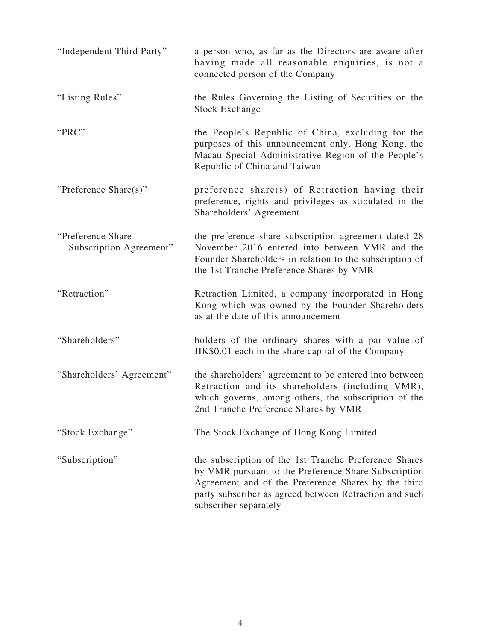| "Independent Third Party"                     | a person who, as far as the Directors are aware after<br>having made all reasonable enquiries, is not a<br>connected person of the Company                                                                                                              |
|-----------------------------------------------|---------------------------------------------------------------------------------------------------------------------------------------------------------------------------------------------------------------------------------------------------------|
| "Listing Rules"                               | the Rules Governing the Listing of Securities on the<br><b>Stock Exchange</b>                                                                                                                                                                           |
| "PRC"                                         | the People's Republic of China, excluding for the<br>purposes of this announcement only, Hong Kong, the<br>Macau Special Administrative Region of the People's<br>Republic of China and Taiwan                                                          |
| "Preference Share(s)"                         | preference share(s) of Retraction having their<br>preference, rights and privileges as stipulated in the<br>Shareholders' Agreement                                                                                                                     |
| "Preference Share"<br>Subscription Agreement" | the preference share subscription agreement dated 28<br>November 2016 entered into between VMR and the<br>Founder Shareholders in relation to the subscription of<br>the 1st Tranche Preference Shares by VMR                                           |
| "Retraction"                                  | Retraction Limited, a company incorporated in Hong<br>Kong which was owned by the Founder Shareholders<br>as at the date of this announcement                                                                                                           |
| "Shareholders"                                | holders of the ordinary shares with a par value of<br>HK\$0.01 each in the share capital of the Company                                                                                                                                                 |
| "Shareholders' Agreement"                     | the shareholders' agreement to be entered into between<br>Retraction and its shareholders (including VMR),<br>which governs, among others, the subscription of the<br>2nd Tranche Preference Shares by VMR                                              |
| "Stock Exchange"                              | The Stock Exchange of Hong Kong Limited                                                                                                                                                                                                                 |
| "Subscription"                                | the subscription of the 1st Tranche Preference Shares<br>by VMR pursuant to the Preference Share Subscription<br>Agreement and of the Preference Shares by the third<br>party subscriber as agreed between Retraction and such<br>subscriber separately |